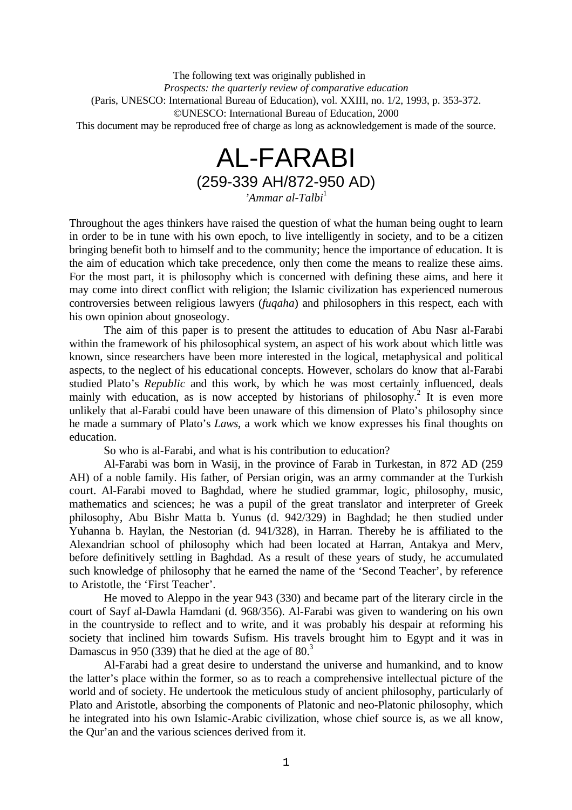The following text was originally published in *Prospects: the quarterly review of comparative education* (Paris, UNESCO: International Bureau of Education), vol. XXIII, no. 1/2, 1993, p. 353-372. ©UNESCO: International Bureau of Education, 2000 This document may be reproduced free of charge as long as acknowledgement is made of the source.

# AL-FARABI (259-339 AH/872-950 AD)

*'Ammar al-Talbi*<sup>1</sup>

Throughout the ages thinkers have raised the question of what the human being ought to learn in order to be in tune with his own epoch, to live intelligently in society, and to be a citizen bringing benefit both to himself and to the community; hence the importance of education. It is the aim of education which take precedence, only then come the means to realize these aims. For the most part, it is philosophy which is concerned with defining these aims, and here it may come into direct conflict with religion; the Islamic civilization has experienced numerous controversies between religious lawyers (*fuqaha*) and philosophers in this respect, each with his own opinion about gnoseology.

The aim of this paper is to present the attitudes to education of Abu Nasr al-Farabi within the framework of his philosophical system, an aspect of his work about which little was known, since researchers have been more interested in the logical, metaphysical and political aspects, to the neglect of his educational concepts. However, scholars do know that al-Farabi studied Plato's *Republic* and this work, by which he was most certainly influenced, deals mainly with education, as is now accepted by historians of philosophy.<sup>2</sup> It is even more unlikely that al-Farabi could have been unaware of this dimension of Plato's philosophy since he made a summary of Plato's *Laws*, a work which we know expresses his final thoughts on education.

So who is al-Farabi, and what is his contribution to education?

Al-Farabi was born in Wasij, in the province of Farab in Turkestan, in 872 AD (259 AH) of a noble family. His father, of Persian origin, was an army commander at the Turkish court. Al-Farabi moved to Baghdad, where he studied grammar, logic, philosophy, music, mathematics and sciences; he was a pupil of the great translator and interpreter of Greek philosophy, Abu Bishr Matta b. Yunus (d. 942/329) in Baghdad; he then studied under Yuhanna b. Haylan, the Nestorian (d. 941/328), in Harran. Thereby he is affiliated to the Alexandrian school of philosophy which had been located at Harran, Antakya and Merv, before definitively settling in Baghdad. As a result of these years of study, he accumulated such knowledge of philosophy that he earned the name of the 'Second Teacher', by reference to Aristotle, the 'First Teacher'.

He moved to Aleppo in the year 943 (330) and became part of the literary circle in the court of Sayf al-Dawla Hamdani (d. 968/356). Al-Farabi was given to wandering on his own in the countryside to reflect and to write, and it was probably his despair at reforming his society that inclined him towards Sufism. His travels brought him to Egypt and it was in Damascus in 950 (339) that he died at the age of  $80<sup>3</sup>$ 

Al-Farabi had a great desire to understand the universe and humankind, and to know the latter's place within the former, so as to reach a comprehensive intellectual picture of the world and of society. He undertook the meticulous study of ancient philosophy, particularly of Plato and Aristotle, absorbing the components of Platonic and neo-Platonic philosophy, which he integrated into his own Islamic-Arabic civilization, whose chief source is, as we all know, the Qur'an and the various sciences derived from it.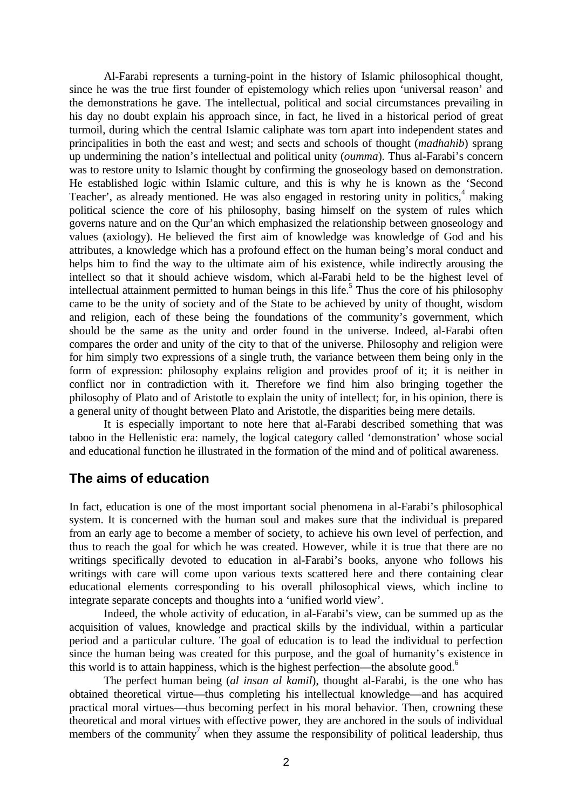Al-Farabi represents a turning-point in the history of Islamic philosophical thought, since he was the true first founder of epistemology which relies upon 'universal reason' and the demonstrations he gave. The intellectual, political and social circumstances prevailing in his day no doubt explain his approach since, in fact, he lived in a historical period of great turmoil, during which the central Islamic caliphate was torn apart into independent states and principalities in both the east and west; and sects and schools of thought (*madhahib*) sprang up undermining the nation's intellectual and political unity (*oumma*). Thus al-Farabi's concern was to restore unity to Islamic thought by confirming the gnoseology based on demonstration. He established logic within Islamic culture, and this is why he is known as the 'Second Teacher', as already mentioned. He was also engaged in restoring unity in politics,<sup>4</sup> making political science the core of his philosophy, basing himself on the system of rules which governs nature and on the Qur'an which emphasized the relationship between gnoseology and values (axiology). He believed the first aim of knowledge was knowledge of God and his attributes, a knowledge which has a profound effect on the human being's moral conduct and helps him to find the way to the ultimate aim of his existence, while indirectly arousing the intellect so that it should achieve wisdom, which al-Farabi held to be the highest level of intellectual attainment permitted to human beings in this life.<sup>5</sup> Thus the core of his philosophy came to be the unity of society and of the State to be achieved by unity of thought, wisdom and religion, each of these being the foundations of the community's government, which should be the same as the unity and order found in the universe. Indeed, al-Farabi often compares the order and unity of the city to that of the universe. Philosophy and religion were for him simply two expressions of a single truth, the variance between them being only in the form of expression: philosophy explains religion and provides proof of it; it is neither in conflict nor in contradiction with it. Therefore we find him also bringing together the philosophy of Plato and of Aristotle to explain the unity of intellect; for, in his opinion, there is a general unity of thought between Plato and Aristotle, the disparities being mere details.

It is especially important to note here that al-Farabi described something that was taboo in the Hellenistic era: namely, the logical category called 'demonstration' whose social and educational function he illustrated in the formation of the mind and of political awareness.

#### **The aims of education**

In fact, education is one of the most important social phenomena in al-Farabi's philosophical system. It is concerned with the human soul and makes sure that the individual is prepared from an early age to become a member of society, to achieve his own level of perfection, and thus to reach the goal for which he was created. However, while it is true that there are no writings specifically devoted to education in al-Farabi's books, anyone who follows his writings with care will come upon various texts scattered here and there containing clear educational elements corresponding to his overall philosophical views, which incline to integrate separate concepts and thoughts into a 'unified world view'.

Indeed, the whole activity of education, in al-Farabi's view, can be summed up as the acquisition of values, knowledge and practical skills by the individual, within a particular period and a particular culture. The goal of education is to lead the individual to perfection since the human being was created for this purpose, and the goal of humanity's existence in this world is to attain happiness, which is the highest perfection—the absolute good.<sup>6</sup>

The perfect human being (*al insan al kamil*), thought al-Farabi, is the one who has obtained theoretical virtue—thus completing his intellectual knowledge—and has acquired practical moral virtues—thus becoming perfect in his moral behavior. Then, crowning these theoretical and moral virtues with effective power, they are anchored in the souls of individual members of the community<sup>7</sup> when they assume the responsibility of political leadership, thus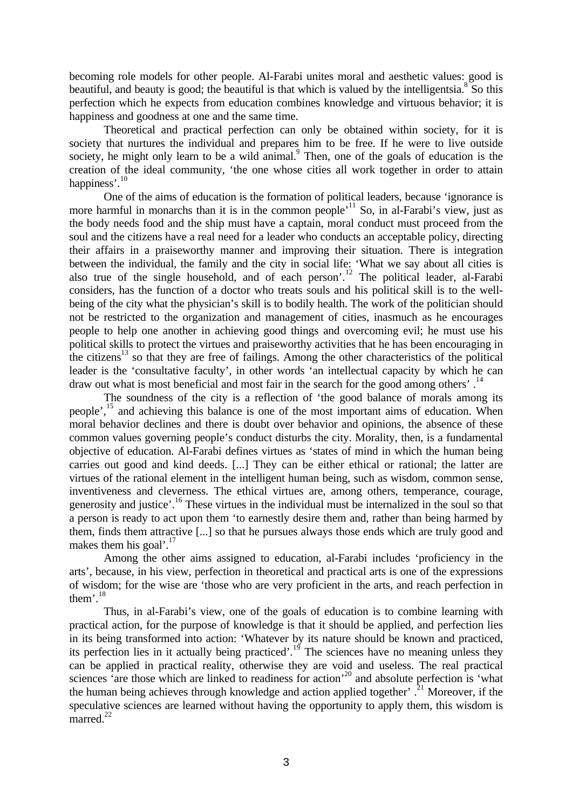becoming role models for other people. Al-Farabi unites moral and aesthetic values: good is beautiful, and beauty is good; the beautiful is that which is valued by the intelligentsia.  $8^{\circ}$  So this perfection which he expects from education combines knowledge and virtuous behavior; it is happiness and goodness at one and the same time.

Theoretical and practical perfection can only be obtained within society, for it is society that nurtures the individual and prepares him to be free. If he were to live outside society, he might only learn to be a wild animal.<sup>9</sup> Then, one of the goals of education is the creation of the ideal community, 'the one whose cities all work together in order to attain happiness'.<sup>10</sup>

One of the aims of education is the formation of political leaders, because 'ignorance is more harmful in monarchs than it is in the common people<sup>11</sup> So, in al-Farabi's view, just as the body needs food and the ship must have a captain, moral conduct must proceed from the soul and the citizens have a real need for a leader who conducts an acceptable policy, directing their affairs in a praiseworthy manner and improving their situation. There is integration between the individual, the family and the city in social life: 'What we say about all cities is also true of the single household, and of each person'.<sup>12</sup> The political leader, al-Farabi considers, has the function of a doctor who treats souls and his political skill is to the wellbeing of the city what the physician's skill is to bodily health. The work of the politician should not be restricted to the organization and management of cities, inasmuch as he encourages people to help one another in achieving good things and overcoming evil; he must use his political skills to protect the virtues and praiseworthy activities that he has been encouraging in the citizens<sup>13</sup> so that they are free of failings. Among the other characteristics of the political leader is the 'consultative faculty', in other words 'an intellectual capacity by which he can draw out what is most beneficial and most fair in the search for the good among others'.<sup>14</sup>

The soundness of the city is a reflection of 'the good balance of morals among its people',<sup>15</sup> and achieving this balance is one of the most important aims of education. When moral behavior declines and there is doubt over behavior and opinions, the absence of these common values governing people's conduct disturbs the city. Morality, then, is a fundamental objective of education. Al-Farabi defines virtues as 'states of mind in which the human being carries out good and kind deeds. [...] They can be either ethical or rational; the latter are virtues of the rational element in the intelligent human being, such as wisdom, common sense, inventiveness and cleverness. The ethical virtues are, among others, temperance, courage, generosity and justice'. <sup>16</sup> These virtues in the individual must be internalized in the soul so that a person is ready to act upon them 'to earnestly desire them and, rather than being harmed by them, finds them attractive [...] so that he pursues always those ends which are truly good and makes them his goal'.<sup>17</sup>

Among the other aims assigned to education, al-Farabi includes 'proficiency in the arts', because, in his view, perfection in theoretical and practical arts is one of the expressions of wisdom; for the wise are 'those who are very proficient in the arts, and reach perfection in them'. $^{18}$ 

Thus, in al-Farabi's view, one of the goals of education is to combine learning with practical action, for the purpose of knowledge is that it should be applied, and perfection lies in its being transformed into action: 'Whatever by its nature should be known and practiced, its perfection lies in it actually being practiced'.<sup>19</sup> The sciences have no meaning unless they can be applied in practical reality, otherwise they are void and useless. The real practical sciences 'are those which are linked to readiness for action'<sup>20</sup> and absolute perfection is 'what the human being achieves through knowledge and action applied together'.<sup>21</sup> Moreover, if the speculative sciences are learned without having the opportunity to apply them, this wisdom is  $m$ arred.<sup>22</sup>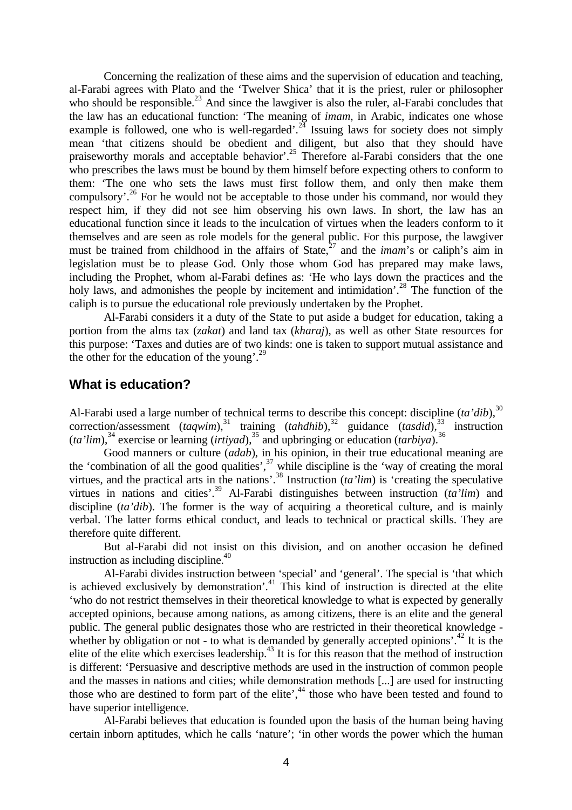Concerning the realization of these aims and the supervision of education and teaching, al-Farabi agrees with Plato and the 'Twelver Shica' that it is the priest, ruler or philosopher who should be responsible.<sup>23</sup> And since the lawgiver is also the ruler, al-Farabi concludes that the law has an educational function: 'The meaning of *imam*, in Arabic, indicates one whose example is followed, one who is well-regarded'.<sup>24</sup> Issuing laws for society does not simply mean 'that citizens should be obedient and diligent, but also that they should have praiseworthy morals and acceptable behavior'.<sup>25</sup> Therefore al-Farabi considers that the one who prescribes the laws must be bound by them himself before expecting others to conform to them: 'The one who sets the laws must first follow them, and only then make them compulsory'.<sup>26</sup> For he would not be acceptable to those under his command, nor would they respect him, if they did not see him observing his own laws. In short, the law has an educational function since it leads to the inculcation of virtues when the leaders conform to it themselves and are seen as role models for the general public. For this purpose, the lawgiver must be trained from childhood in the affairs of State, <sup>27</sup> and the *imam*'s or caliph's aim in legislation must be to please God. Only those whom God has prepared may make laws, including the Prophet, whom al-Farabi defines as: 'He who lays down the practices and the holy laws, and admonishes the people by incitement and intimidation'.<sup>28</sup> The function of the caliph is to pursue the educational role previously undertaken by the Prophet.

Al-Farabi considers it a duty of the State to put aside a budget for education, taking a portion from the alms tax (*zakat*) and land tax (*kharaj*), as well as other State resources for this purpose: 'Taxes and duties are of two kinds: one is taken to support mutual assistance and the other for the education of the young'.<sup>29</sup>

### **What is education?**

Al-Farabi used a large number of technical terms to describe this concept: discipline (*ta'dib*), 30 correction/assessment (*taqwim*),<sup>31</sup> training (*tahdhib*),<sup>32</sup> guidance (*tasdid*),<sup>33</sup> instruction  $(ta'lim),<sup>34</sup>$  exercise or learning (*irtiyad*),<sup>35</sup> and upbringing or education (*tarbiya*).<sup>36</sup>

Good manners or culture (*adab*), in his opinion, in their true educational meaning are the 'combination of all the good qualities', $37$  while discipline is the 'way of creating the moral virtues, and the practical arts in the nations'.<sup>38</sup> Instruction  $(ta'lim)$  is 'creating the speculative virtues in nations and cities'.<sup>39</sup> Al-Farabi distinguishes between instruction *(ta'lim)* and discipline *(ta'dib)*. The former is the way of acquiring a theoretical culture, and is mainly verbal. The latter forms ethical conduct, and leads to technical or practical skills. They are therefore quite different.

But al-Farabi did not insist on this division, and on another occasion he defined instruction as including discipline.<sup>40</sup>

Al-Farabi divides instruction between 'special' and 'general'. The special is 'that which is achieved exclusively by demonstration<sup>'.41</sup> This kind of instruction is directed at the elite 'who do not restrict themselves in their theoretical knowledge to what is expected by generally accepted opinions, because among nations, as among citizens, there is an elite and the general public. The general public designates those who are restricted in their theoretical knowledge whether by obligation or not - to what is demanded by generally accepted opinions'. $^{42}$  It is the elite of the elite which exercises leadership.<sup>43</sup> It is for this reason that the method of instruction is different: 'Persuasive and descriptive methods are used in the instruction of common people and the masses in nations and cities; while demonstration methods [...] are used for instructing those who are destined to form part of the elite',<sup>44</sup> those who have been tested and found to have superior intelligence.

Al-Farabi believes that education is founded upon the basis of the human being having certain inborn aptitudes, which he calls 'nature'; 'in other words the power which the human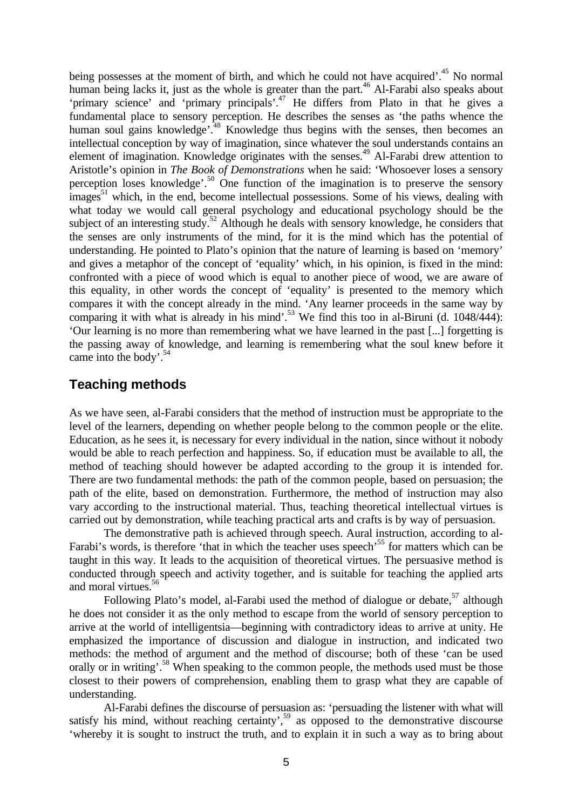being possesses at the moment of birth, and which he could not have acquired'.<sup>45</sup> No normal human being lacks it, just as the whole is greater than the part.<sup>46</sup> Al-Farabi also speaks about 'primary science' and 'primary principals'.<sup>47</sup> He differs from Plato in that he gives a fundamental place to sensory perception. He describes the senses as 'the paths whence the human soul gains knowledge<sup>', 48</sup> Knowledge thus begins with the senses, then becomes an intellectual conception by way of imagination, since whatever the soul understands contains an element of imagination. Knowledge originates with the senses.<sup>49</sup> Al-Farabi drew attention to Aristotle's opinion in *The Book of Demonstrations* when he said: 'Whosoever loses a sensory perception loses knowledge<sup>'.50</sup> One function of the imagination is to preserve the sensory  $\frac{1}{2}$  images<sup>51</sup> which, in the end, become intellectual possessions. Some of his views, dealing with what today we would call general psychology and educational psychology should be the subject of an interesting study.<sup>52</sup> Although he deals with sensory knowledge, he considers that the senses are only instruments of the mind, for it is the mind which has the potential of understanding. He pointed to Plato's opinion that the nature of learning is based on 'memory' and gives a metaphor of the concept of 'equality' which, in his opinion, is fixed in the mind: confronted with a piece of wood which is equal to another piece of wood, we are aware of this equality, in other words the concept of 'equality' is presented to the memory which compares it with the concept already in the mind. 'Any learner proceeds in the same way by comparing it with what is already in his mind'.<sup>53</sup> We find this too in al-Biruni (d. 1048/444): 'Our learning is no more than remembering what we have learned in the past [...] forgetting is the passing away of knowledge, and learning is remembering what the soul knew before it came into the body'.<sup>54</sup>

## **Teaching methods**

As we have seen, al-Farabi considers that the method of instruction must be appropriate to the level of the learners, depending on whether people belong to the common people or the elite. Education, as he sees it, is necessary for every individual in the nation, since without it nobody would be able to reach perfection and happiness. So, if education must be available to all, the method of teaching should however be adapted according to the group it is intended for. There are two fundamental methods: the path of the common people, based on persuasion; the path of the elite, based on demonstration. Furthermore, the method of instruction may also vary according to the instructional material. Thus, teaching theoretical intellectual virtues is carried out by demonstration, while teaching practical arts and crafts is by way of persuasion.

The demonstrative path is achieved through speech. Aural instruction, according to al-Farabi's words, is therefore 'that in which the teacher uses speech'<sup>55</sup> for matters which can be taught in this way. It leads to the acquisition of theoretical virtues. The persuasive method is conducted through speech and activity together, and is suitable for teaching the applied arts and moral virtues.<sup>56</sup>

Following Plato's model, al-Farabi used the method of dialogue or debate, <sup>57</sup> although he does not consider it as the only method to escape from the world of sensory perception to arrive at the world of intelligentsia—beginning with contradictory ideas to arrive at unity. He emphasized the importance of discussion and dialogue in instruction, and indicated two methods: the method of argument and the method of discourse; both of these 'can be used orally or in writing'.<sup>58</sup> When speaking to the common people, the methods used must be those closest to their powers of comprehension, enabling them to grasp what they are capable of understanding.

Al-Farabi defines the discourse of persuasion as: 'persuading the listener with what will satisfy his mind, without reaching certainty',<sup>59</sup> as opposed to the demonstrative discourse 'whereby it is sought to instruct the truth, and to explain it in such a way as to bring about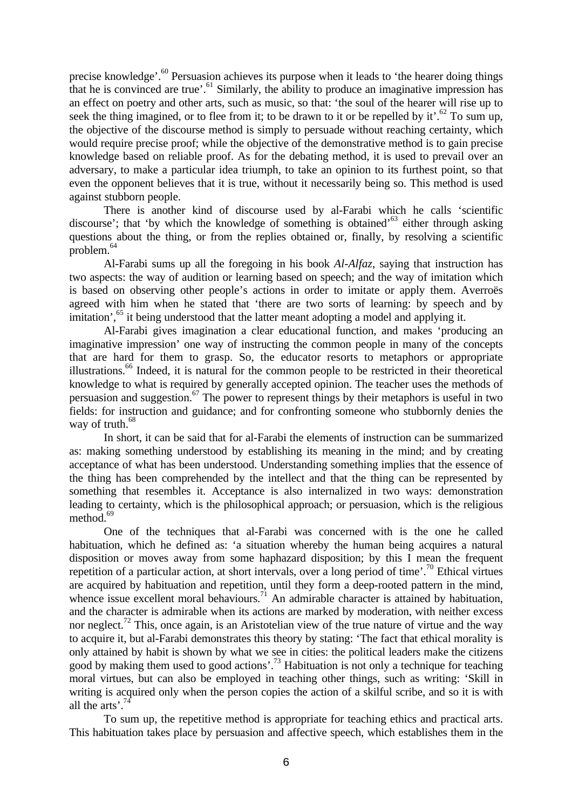precise knowledge'.<sup>60</sup> Persuasion achieves its purpose when it leads to 'the hearer doing things that he is convinced are true'.<sup>61</sup> Similarly, the ability to produce an imaginative impression has an effect on poetry and other arts, such as music, so that: 'the soul of the hearer will rise up to seek the thing imagined, or to flee from it; to be drawn to it or be repelled by it'.<sup>62</sup> To sum up, the objective of the discourse method is simply to persuade without reaching certainty, which would require precise proof; while the objective of the demonstrative method is to gain precise knowledge based on reliable proof. As for the debating method, it is used to prevail over an adversary, to make a particular idea triumph, to take an opinion to its furthest point, so that even the opponent believes that it is true, without it necessarily being so. This method is used against stubborn people.

There is another kind of discourse used by al-Farabi which he calls 'scientific discourse'; that 'by which the knowledge of something is obtained'<sup>63</sup> either through asking questions about the thing, or from the replies obtained or, finally, by resolving a scientific problem.<sup>64</sup>

Al-Farabi sums up all the foregoing in his book *Al-Alfaz*, saying that instruction has two aspects: the way of audition or learning based on speech; and the way of imitation which is based on observing other people's actions in order to imitate or apply them. Averroës agreed with him when he stated that 'there are two sorts of learning: by speech and by imitation',<sup>65</sup> it being understood that the latter meant adopting a model and applying it.

Al-Farabi gives imagination a clear educational function, and makes 'producing an imaginative impression' one way of instructing the common people in many of the concepts that are hard for them to grasp. So, the educator resorts to metaphors or appropriate illustrations.<sup>66</sup> Indeed, it is natural for the common people to be restricted in their theoretical knowledge to what is required by generally accepted opinion. The teacher uses the methods of persuasion and suggestion.<sup>67</sup> The power to represent things by their metaphors is useful in two fields: for instruction and guidance; and for confronting someone who stubbornly denies the way of truth.<sup>68</sup>

In short, it can be said that for al-Farabi the elements of instruction can be summarized as: making something understood by establishing its meaning in the mind; and by creating acceptance of what has been understood. Understanding something implies that the essence of the thing has been comprehended by the intellect and that the thing can be represented by something that resembles it. Acceptance is also internalized in two ways: demonstration leading to certainty, which is the philosophical approach; or persuasion, which is the religious method. $69$ 

One of the techniques that al-Farabi was concerned with is the one he called habituation, which he defined as: 'a situation whereby the human being acquires a natural disposition or moves away from some haphazard disposition; by this I mean the frequent repetition of a particular action, at short intervals, over a long period of time'.<sup>70</sup> Ethical virtues are acquired by habituation and repetition, until they form a deep-rooted pattern in the mind, whence issue excellent moral behaviours.<sup>71</sup> An admirable character is attained by habituation, and the character is admirable when its actions are marked by moderation, with neither excess nor neglect.<sup>72</sup> This, once again, is an Aristotelian view of the true nature of virtue and the way to acquire it, but al-Farabi demonstrates this theory by stating: 'The fact that ethical morality is only attained by habit is shown by what we see in cities: the political leaders make the citizens good by making them used to good actions'.<sup>73</sup> Habituation is not only a technique for teaching moral virtues, but can also be employed in teaching other things, such as writing: 'Skill in writing is acquired only when the person copies the action of a skilful scribe, and so it is with all the arts'.<sup>7</sup>

To sum up, the repetitive method is appropriate for teaching ethics and practical arts. This habituation takes place by persuasion and affective speech, which establishes them in the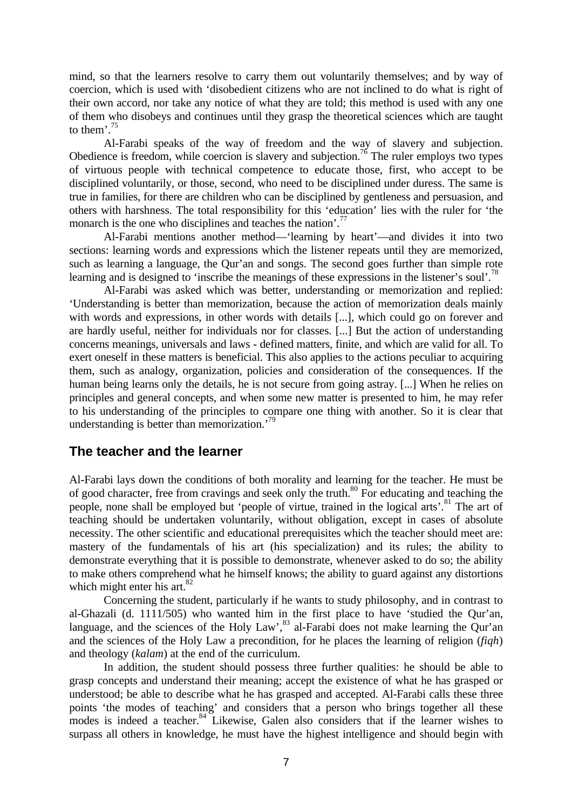mind, so that the learners resolve to carry them out voluntarily themselves; and by way of coercion, which is used with 'disobedient citizens who are not inclined to do what is right of their own accord, nor take any notice of what they are told; this method is used with any one of them who disobeys and continues until they grasp the theoretical sciences which are taught to them'. $75$ 

Al-Farabi speaks of the way of freedom and the way of slavery and subjection. Obedience is freedom, while coercion is slavery and subjection.<sup>76</sup> The ruler employs two types of virtuous people with technical competence to educate those, first, who accept to be disciplined voluntarily, or those, second, who need to be disciplined under duress. The same is true in families, for there are children who can be disciplined by gentleness and persuasion, and others with harshness. The total responsibility for this 'education' lies with the ruler for 'the monarch is the one who disciplines and teaches the nation'.<sup>77</sup>

Al-Farabi mentions another method—'learning by heart'—and divides it into two sections: learning words and expressions which the listener repeats until they are memorized, such as learning a language, the Qur'an and songs. The second goes further than simple rote learning and is designed to 'inscribe the meanings of these expressions in the listener's soul'.<sup>78</sup>

Al-Farabi was asked which was better, understanding or memorization and replied: 'Understanding is better than memorization, because the action of memorization deals mainly with words and expressions, in other words with details [...], which could go on forever and are hardly useful, neither for individuals nor for classes. [...] But the action of understanding concerns meanings, universals and laws - defined matters, finite, and which are valid for all. To exert oneself in these matters is beneficial. This also applies to the actions peculiar to acquiring them, such as analogy, organization, policies and consideration of the consequences. If the human being learns only the details, he is not secure from going astray. [...] When he relies on principles and general concepts, and when some new matter is presented to him, he may refer to his understanding of the principles to compare one thing with another. So it is clear that understanding is better than memorization.'<sup>79</sup>

#### **The teacher and the learner**

Al-Farabi lays down the conditions of both morality and learning for the teacher. He must be of good character, free from cravings and seek only the truth.<sup>80</sup> For educating and teaching the people, none shall be employed but 'people of virtue, trained in the logical arts'.<sup>81</sup> The art of teaching should be undertaken voluntarily, without obligation, except in cases of absolute necessity. The other scientific and educational prerequisites which the teacher should meet are: mastery of the fundamentals of his art (his specialization) and its rules; the ability to demonstrate everything that it is possible to demonstrate, whenever asked to do so; the ability to make others comprehend what he himself knows; the ability to guard against any distortions which might enter his art. $82$ 

Concerning the student, particularly if he wants to study philosophy, and in contrast to al-Ghazali (d. 1111/505) who wanted him in the first place to have 'studied the Qur'an, language, and the sciences of the Holy Law', <sup>83</sup> al-Farabi does not make learning the Qur'an and the sciences of the Holy Law a precondition, for he places the learning of religion (*fiqh*) and theology (*kalam*) at the end of the curriculum.

In addition, the student should possess three further qualities: he should be able to grasp concepts and understand their meaning; accept the existence of what he has grasped or understood; be able to describe what he has grasped and accepted. Al-Farabi calls these three points 'the modes of teaching' and considers that a person who brings together all these modes is indeed a teacher.<sup>84</sup> Likewise, Galen also considers that if the learner wishes to surpass all others in knowledge, he must have the highest intelligence and should begin with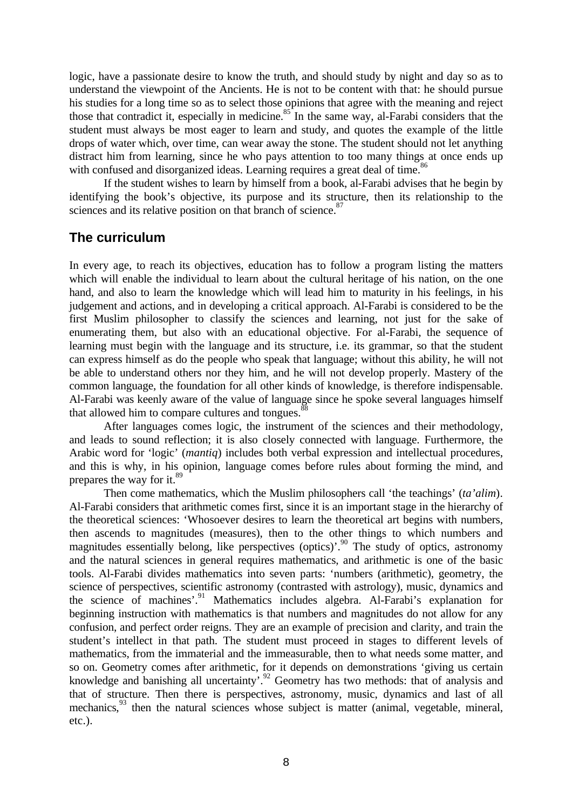logic, have a passionate desire to know the truth, and should study by night and day so as to understand the viewpoint of the Ancients. He is not to be content with that: he should pursue his studies for a long time so as to select those opinions that agree with the meaning and reject those that contradict it, especially in medicine.<sup>85</sup> In the same way, al-Farabi considers that the student must always be most eager to learn and study, and quotes the example of the little drops of water which, over time, can wear away the stone. The student should not let anything distract him from learning, since he who pays attention to too many things at once ends up with confused and disorganized ideas. Learning requires a great deal of time.<sup>86</sup>

If the student wishes to learn by himself from a book, al-Farabi advises that he begin by identifying the book's objective, its purpose and its structure, then its relationship to the sciences and its relative position on that branch of science.<sup>87</sup>

## **The curriculum**

In every age, to reach its objectives, education has to follow a program listing the matters which will enable the individual to learn about the cultural heritage of his nation, on the one hand, and also to learn the knowledge which will lead him to maturity in his feelings, in his judgement and actions, and in developing a critical approach. Al-Farabi is considered to be the first Muslim philosopher to classify the sciences and learning, not just for the sake of enumerating them, but also with an educational objective. For al-Farabi, the sequence of learning must begin with the language and its structure, i.e. its grammar, so that the student can express himself as do the people who speak that language; without this ability, he will not be able to understand others nor they him, and he will not develop properly. Mastery of the common language, the foundation for all other kinds of knowledge, is therefore indispensable. Al-Farabi was keenly aware of the value of language since he spoke several languages himself that allowed him to compare cultures and tongues.<sup>88</sup>

After languages comes logic, the instrument of the sciences and their methodology, and leads to sound reflection; it is also closely connected with language. Furthermore, the Arabic word for 'logic' (*mantiq*) includes both verbal expression and intellectual procedures, and this is why, in his opinion, language comes before rules about forming the mind, and prepares the way for it.<sup>89</sup>

Then come mathematics, which the Muslim philosophers call 'the teachings' (*ta'alim*). Al-Farabi considers that arithmetic comes first, since it is an important stage in the hierarchy of the theoretical sciences: 'Whosoever desires to learn the theoretical art begins with numbers, then ascends to magnitudes (measures), then to the other things to which numbers and magnitudes essentially belong, like perspectives (optics)'.<sup>90</sup> The study of optics, astronomy and the natural sciences in general requires mathematics, and arithmetic is one of the basic tools. Al-Farabi divides mathematics into seven parts: 'numbers (arithmetic), geometry, the science of perspectives, scientific astronomy (contrasted with astrology), music, dynamics and the science of machines'.<sup>91</sup> Mathematics includes algebra. Al-Farabi's explanation for beginning instruction with mathematics is that numbers and magnitudes do not allow for any confusion, and perfect order reigns. They are an example of precision and clarity, and train the student's intellect in that path. The student must proceed in stages to different levels of mathematics, from the immaterial and the immeasurable, then to what needs some matter, and so on. Geometry comes after arithmetic, for it depends on demonstrations 'giving us certain knowledge and banishing all uncertainty'.<sup>92</sup> Geometry has two methods: that of analysis and that of structure. Then there is perspectives, astronomy, music, dynamics and last of all mechanics,<sup>93</sup> then the natural sciences whose subject is matter (animal, vegetable, mineral, etc.).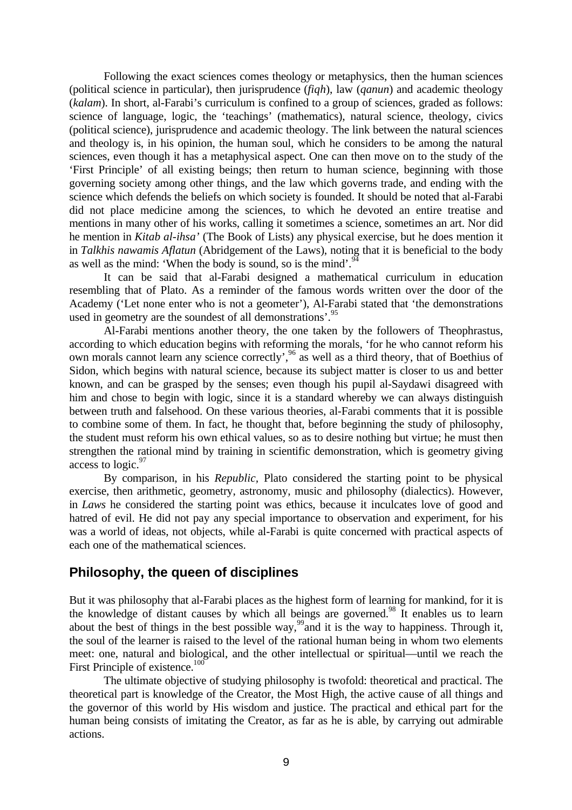Following the exact sciences comes theology or metaphysics, then the human sciences (political science in particular), then jurisprudence (*fiqh*), law (*qanun*) and academic theology (*kalam*). In short, al-Farabi's curriculum is confined to a group of sciences, graded as follows: science of language, logic, the 'teachings' (mathematics), natural science, theology, civics (political science), jurisprudence and academic theology. The link between the natural sciences and theology is, in his opinion, the human soul, which he considers to be among the natural sciences, even though it has a metaphysical aspect. One can then move on to the study of the 'First Principle' of all existing beings; then return to human science, beginning with those governing society among other things, and the law which governs trade, and ending with the science which defends the beliefs on which society is founded. It should be noted that al-Farabi did not place medicine among the sciences, to which he devoted an entire treatise and mentions in many other of his works, calling it sometimes a science, sometimes an art. Nor did he mention in *Kitab al-ihsa'* (The Book of Lists) any physical exercise, but he does mention it in *Talkhis nawamis Aflatun* (Abridgement of the Laws), noting that it is beneficial to the body as well as the mind: 'When the body is sound, so is the mind'.<sup>94</sup>

It can be said that al-Farabi designed a mathematical curriculum in education resembling that of Plato. As a reminder of the famous words written over the door of the Academy ('Let none enter who is not a geometer'), Al-Farabi stated that 'the demonstrations used in geometry are the soundest of all demonstrations'.<sup>95</sup>

Al-Farabi mentions another theory, the one taken by the followers of Theophrastus, according to which education begins with reforming the morals, 'for he who cannot reform his own morals cannot learn any science correctly',<sup>96</sup> as well as a third theory, that of Boethius of Sidon, which begins with natural science, because its subject matter is closer to us and better known, and can be grasped by the senses; even though his pupil al-Saydawi disagreed with him and chose to begin with logic, since it is a standard whereby we can always distinguish between truth and falsehood. On these various theories, al-Farabi comments that it is possible to combine some of them. In fact, he thought that, before beginning the study of philosophy, the student must reform his own ethical values, so as to desire nothing but virtue; he must then strengthen the rational mind by training in scientific demonstration, which is geometry giving access to logic.<sup>97</sup>

By comparison, in his *Republic,* Plato considered the starting point to be physical exercise, then arithmetic, geometry, astronomy, music and philosophy (dialectics). However, in *Laws* he considered the starting point was ethics, because it inculcates love of good and hatred of evil. He did not pay any special importance to observation and experiment, for his was a world of ideas, not objects, while al-Farabi is quite concerned with practical aspects of each one of the mathematical sciences.

#### **Philosophy, the queen of disciplines**

But it was philosophy that al-Farabi places as the highest form of learning for mankind, for it is the knowledge of distant causes by which all beings are governed.<sup>98</sup> It enables us to learn about the best of things in the best possible way,<sup>99</sup> and it is the way to happiness. Through it, the soul of the learner is raised to the level of the rational human being in whom two elements meet: one, natural and biological, and the other intellectual or spiritual—until we reach the First Principle of existence.<sup>100</sup>

The ultimate objective of studying philosophy is twofold: theoretical and practical. The theoretical part is knowledge of the Creator, the Most High, the active cause of all things and the governor of this world by His wisdom and justice. The practical and ethical part for the human being consists of imitating the Creator, as far as he is able, by carrying out admirable actions.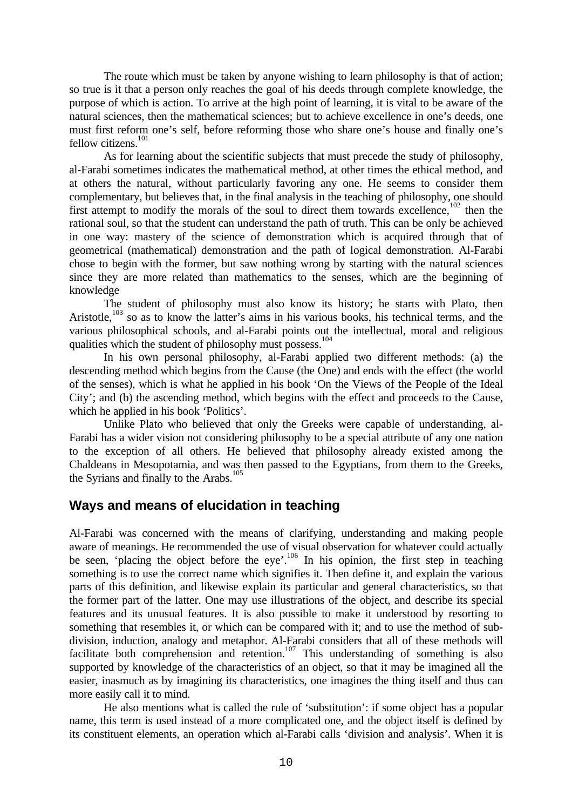The route which must be taken by anyone wishing to learn philosophy is that of action; so true is it that a person only reaches the goal of his deeds through complete knowledge, the purpose of which is action. To arrive at the high point of learning, it is vital to be aware of the natural sciences, then the mathematical sciences; but to achieve excellence in one's deeds, one must first reform one's self, before reforming those who share one's house and finally one's fellow citizens. $101$ 

As for learning about the scientific subjects that must precede the study of philosophy, al-Farabi sometimes indicates the mathematical method, at other times the ethical method, and at others the natural, without particularly favoring any one. He seems to consider them complementary, but believes that, in the final analysis in the teaching of philosophy, one should first attempt to modify the morals of the soul to direct them towards excellence,<sup>102</sup> then the rational soul, so that the student can understand the path of truth. This can be only be achieved in one way: mastery of the science of demonstration which is acquired through that of geometrical (mathematical) demonstration and the path of logical demonstration. Al-Farabi chose to begin with the former, but saw nothing wrong by starting with the natural sciences since they are more related than mathematics to the senses, which are the beginning of knowledge

The student of philosophy must also know its history; he starts with Plato, then Aristotle,<sup>103</sup> so as to know the latter's aims in his various books, his technical terms, and the various philosophical schools, and al-Farabi points out the intellectual, moral and religious qualities which the student of philosophy must possess.<sup>104</sup>

In his own personal philosophy, al-Farabi applied two different methods: (a) the descending method which begins from the Cause (the One) and ends with the effect (the world of the senses), which is what he applied in his book 'On the Views of the People of the Ideal City'; and (b) the ascending method, which begins with the effect and proceeds to the Cause, which he applied in his book 'Politics'.

Unlike Plato who believed that only the Greeks were capable of understanding, al-Farabi has a wider vision not considering philosophy to be a special attribute of any one nation to the exception of all others. He believed that philosophy already existed among the Chaldeans in Mesopotamia, and was then passed to the Egyptians, from them to the Greeks, the Syrians and finally to the Arabs.<sup>105</sup>

## **Ways and means of elucidation in teaching**

Al-Farabi was concerned with the means of clarifying, understanding and making people aware of meanings. He recommended the use of visual observation for whatever could actually be seen, 'placing the object before the eye'.<sup>106</sup> In his opinion, the first step in teaching something is to use the correct name which signifies it. Then define it, and explain the various parts of this definition, and likewise explain its particular and general characteristics, so that the former part of the latter. One may use illustrations of the object, and describe its special features and its unusual features. It is also possible to make it understood by resorting to something that resembles it, or which can be compared with it; and to use the method of subdivision, induction, analogy and metaphor. Al-Farabi considers that all of these methods will facilitate both comprehension and retention.<sup>107</sup> This understanding of something is also supported by knowledge of the characteristics of an object, so that it may be imagined all the easier, inasmuch as by imagining its characteristics, one imagines the thing itself and thus can more easily call it to mind.

He also mentions what is called the rule of 'substitution': if some object has a popular name, this term is used instead of a more complicated one, and the object itself is defined by its constituent elements, an operation which al-Farabi calls 'division and analysis'. When it is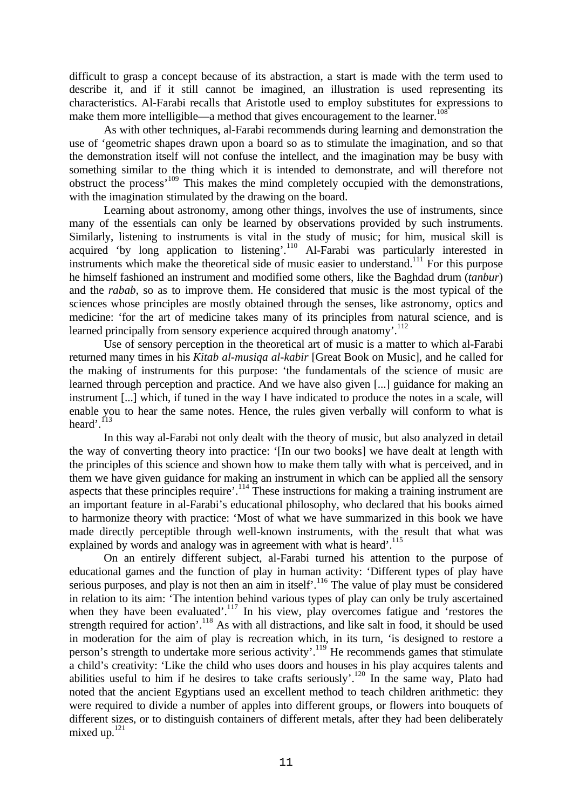difficult to grasp a concept because of its abstraction, a start is made with the term used to describe it, and if it still cannot be imagined, an illustration is used representing its characteristics. Al-Farabi recalls that Aristotle used to employ substitutes for expressions to make them more intelligible—a method that gives encouragement to the learner.<sup>1</sup>

As with other techniques, al-Farabi recommends during learning and demonstration the use of 'geometric shapes drawn upon a board so as to stimulate the imagination, and so that the demonstration itself will not confuse the intellect, and the imagination may be busy with something similar to the thing which it is intended to demonstrate, and will therefore not obstruct the process<sup>'109</sup> This makes the mind completely occupied with the demonstrations, with the imagination stimulated by the drawing on the board.

Learning about astronomy, among other things, involves the use of instruments, since many of the essentials can only be learned by observations provided by such instruments. Similarly, listening to instruments is vital in the study of music; for him, musical skill is acquired 'by long application to listening'.<sup>110</sup> Al-Farabi was particularly interested in instruments which make the theoretical side of music easier to understand.<sup>111</sup> For this purpose he himself fashioned an instrument and modified some others, like the Baghdad drum (*tanbur*) and the *rabab*, so as to improve them. He considered that music is the most typical of the sciences whose principles are mostly obtained through the senses, like astronomy, optics and medicine: 'for the art of medicine takes many of its principles from natural science, and is learned principally from sensory experience acquired through anatomy'.<sup>112</sup>

Use of sensory perception in the theoretical art of music is a matter to which al-Farabi returned many times in his *Kitab al-musiqa al-kabir* [Great Book on Music], and he called for the making of instruments for this purpose: 'the fundamentals of the science of music are learned through perception and practice. And we have also given [...] guidance for making an instrument [...] which, if tuned in the way I have indicated to produce the notes in a scale, will enable you to hear the same notes. Hence, the rules given verbally will conform to what is heard'.<sup>113</sup>

In this way al-Farabi not only dealt with the theory of music, but also analyzed in detail the way of converting theory into practice: '[In our two books] we have dealt at length with the principles of this science and shown how to make them tally with what is perceived, and in them we have given guidance for making an instrument in which can be applied all the sensory aspects that these principles require'.<sup>114</sup> These instructions for making a training instrument are an important feature in al-Farabi's educational philosophy, who declared that his books aimed to harmonize theory with practice: 'Most of what we have summarized in this book we have made directly perceptible through well-known instruments, with the result that what was explained by words and analogy was in agreement with what is heard'.<sup>115</sup>

On an entirely different subject, al-Farabi turned his attention to the purpose of educational games and the function of play in human activity: 'Different types of play have serious purposes, and play is not then an aim in itself<sup>'</sup>.<sup>116</sup> The value of play must be considered in relation to its aim: 'The intention behind various types of play can only be truly ascertained when they have been evaluated'.<sup>117</sup> In his view, play overcomes fatigue and 'restores the strength required for action'.<sup>118</sup> As with all distractions, and like salt in food, it should be used in moderation for the aim of play is recreation which, in its turn, 'is designed to restore a person's strength to undertake more serious activity'.<sup>119</sup> He recommends games that stimulate a child's creativity: 'Like the child who uses doors and houses in his play acquires talents and abilities useful to him if he desires to take crafts seriously'.<sup>120</sup> In the same way, Plato had noted that the ancient Egyptians used an excellent method to teach children arithmetic: they were required to divide a number of apples into different groups, or flowers into bouquets of different sizes, or to distinguish containers of different metals, after they had been deliberately mixed up. $^{121}$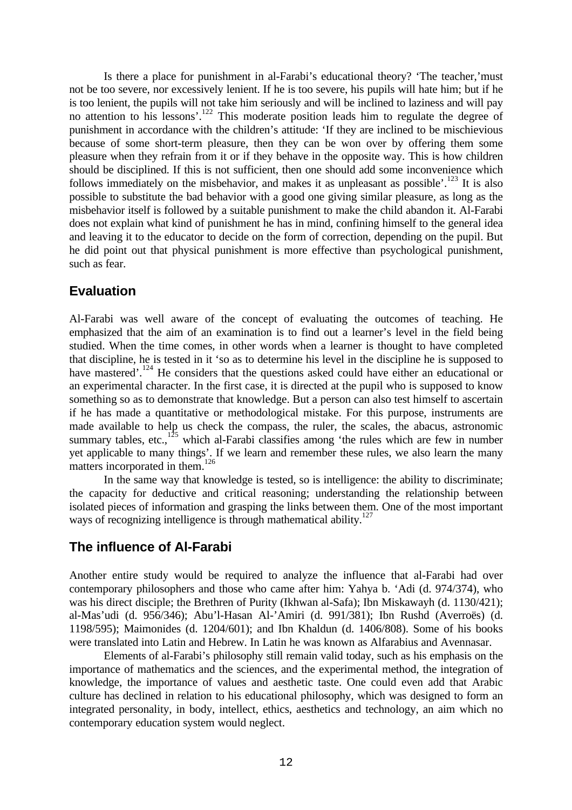Is there a place for punishment in al-Farabi's educational theory? 'The teacher,'must not be too severe, nor excessively lenient. If he is too severe, his pupils will hate him; but if he is too lenient, the pupils will not take him seriously and will be inclined to laziness and will pay no attention to his lessons'.<sup>122</sup> This moderate position leads him to regulate the degree of punishment in accordance with the children's attitude: 'If they are inclined to be mischievious because of some short-term pleasure, then they can be won over by offering them some pleasure when they refrain from it or if they behave in the opposite way. This is how children should be disciplined. If this is not sufficient, then one should add some inconvenience which follows immediately on the misbehavior, and makes it as unpleasant as possible'.<sup>123</sup> It is also possible to substitute the bad behavior with a good one giving similar pleasure, as long as the misbehavior itself is followed by a suitable punishment to make the child abandon it. Al-Farabi does not explain what kind of punishment he has in mind, confining himself to the general idea and leaving it to the educator to decide on the form of correction, depending on the pupil. But he did point out that physical punishment is more effective than psychological punishment, such as fear.

# **Evaluation**

Al-Farabi was well aware of the concept of evaluating the outcomes of teaching. He emphasized that the aim of an examination is to find out a learner's level in the field being studied. When the time comes, in other words when a learner is thought to have completed that discipline, he is tested in it 'so as to determine his level in the discipline he is supposed to have mastered'.<sup>124</sup> He considers that the questions asked could have either an educational or an experimental character. In the first case, it is directed at the pupil who is supposed to know something so as to demonstrate that knowledge. But a person can also test himself to ascertain if he has made a quantitative or methodological mistake. For this purpose, instruments are made available to help us check the compass, the ruler, the scales, the abacus, astronomic summary tables, etc., $125$  which al-Farabi classifies among 'the rules which are few in number yet applicable to many things'. If we learn and remember these rules, we also learn the many matters incorporated in them.<sup>126</sup>

In the same way that knowledge is tested, so is intelligence: the ability to discriminate; the capacity for deductive and critical reasoning; understanding the relationship between isolated pieces of information and grasping the links between them. One of the most important ways of recognizing intelligence is through mathematical ability.<sup>127</sup>

# **The influence of Al-Farabi**

Another entire study would be required to analyze the influence that al-Farabi had over contemporary philosophers and those who came after him: Yahya b. 'Adi (d. 974/374), who was his direct disciple; the Brethren of Purity (Ikhwan al-Safa); Ibn Miskawayh (d. 1130/421); al-Mas'udi (d. 956/346); Abu'l-Hasan Al-'Amiri (d. 991/381); Ibn Rushd (Averroës) (d. 1198/595); Maimonides (d. 1204/601); and Ibn Khaldun (d. 1406/808). Some of his books were translated into Latin and Hebrew. In Latin he was known as Alfarabius and Avennasar.

Elements of al-Farabi's philosophy still remain valid today, such as his emphasis on the importance of mathematics and the sciences, and the experimental method, the integration of knowledge, the importance of values and aesthetic taste. One could even add that Arabic culture has declined in relation to his educational philosophy, which was designed to form an integrated personality, in body, intellect, ethics, aesthetics and technology, an aim which no contemporary education system would neglect.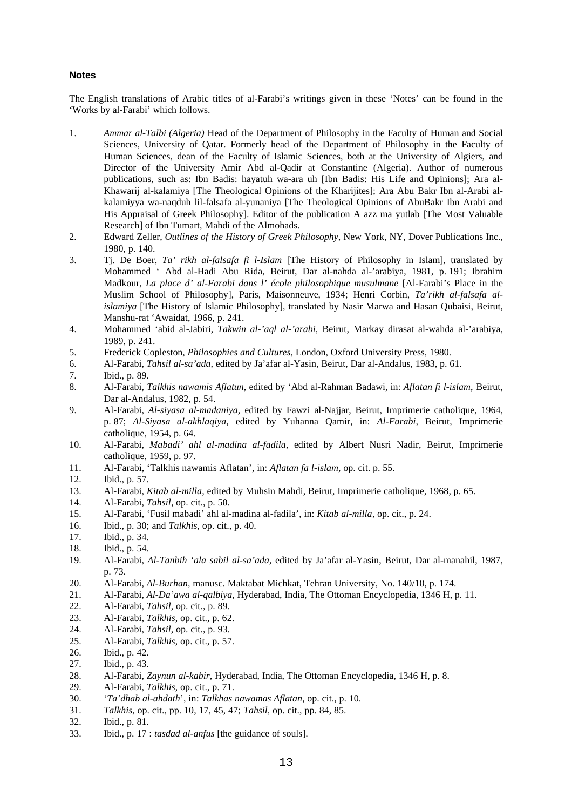#### **Notes**

The English translations of Arabic titles of al-Farabi's writings given in these 'Notes' can be found in the 'Works by al-Farabi' which follows.

- 1. *Ammar al-Talbi (Algeria)* Head of the Department of Philosophy in the Faculty of Human and Social Sciences, University of Qatar. Formerly head of the Department of Philosophy in the Faculty of Human Sciences, dean of the Faculty of Islamic Sciences, both at the University of Algiers, and Director of the University Amir Abd al-Qadir at Constantine (Algeria). Author of numerous publications, such as: Ibn Badis: hayatuh wa-ara uh [Ibn Badis: His Life and Opinions]; Ara al-Khawarij al-kalamiya [The Theological Opinions of the Kharijites]; Ara Abu Bakr Ibn al-Arabi alkalamiyya wa-naqduh lil-falsafa al-yunaniya [The Theological Opinions of AbuBakr Ibn Arabi and His Appraisal of Greek Philosophy]. Editor of the publication A azz ma yutlab [The Most Valuable Research] of Ibn Tumart, Mahdi of the Almohads.
- 2. Edward Zeller, *Outlines of the History of Greek Philosophy*, New York, NY, Dover Publications Inc., 1980, p. 140.
- 3. Tj. De Boer, *Ta' rikh al-falsafa fi l-Islam* [The History of Philosophy in Islam], translated by Mohammed ' Abd al-Hadi Abu Rida, Beirut, Dar al-nahda al-'arabiya, 1981, p. 191; Ibrahim Madkour, *La place d' al-Farabi dans l' école philosophique musulmane* [Al-Farabi's Place in the Muslim School of Philosophy], Paris, Maisonneuve, 1934; Henri Corbin, *Ta'rikh al-falsafa alislamiya* [The History of Islamic Philosophy], translated by Nasir Marwa and Hasan Qubaisi, Beirut, Manshu-rat 'Awaidat, 1966, p. 241.
- 4. Mohammed 'abid al-Jabiri, *Takwin al-'aql al-'arabi*, Beirut, Markay dirasat al-wahda al-'arabiya, 1989, p. 241.
- 5. Frederick Copleston, *Philosophies and Cultures*, London, Oxford University Press, 1980.
- 6. Al-Farabi, *Tahsil al-sa'ada,* edited by Ja'afar al-Yasin, Beirut, Dar al-Andalus, 1983, p. 61.
- 7. Ibid., p. 89.
- 8. Al-Farabi, *Talkhis nawamis Aflatun*, edited by 'Abd al-Rahman Badawi, in: *Aflatan fi l-islam*, Beirut, Dar al-Andalus, 1982, p. 54.
- 9. Al-Farabi, *Al-siyasa al-madaniya,* edited by Fawzi al-Najjar, Beirut, Imprimerie catholique, 1964, p. 87; *Al-Siyasa al-akhlaqiya*, edited by Yuhanna Qamir, in: *Al-Farabi,* Beirut, Imprimerie catholique, 1954, p. 64.
- 10. Al-Farabi, *Mabadi' ahl al-madina al-fadila,* edited by Albert Nusri Nadir, Beirut, Imprimerie catholique, 1959, p. 97.
- 11. Al-Farabi, 'Talkhis nawamis Aflatan', in: *Aflatan fa l-islam*, op. cit. p. 55.
- 12. Ibid., p. 57.
- 13. Al-Farabi, *Kitab al-milla,* edited by Muhsin Mahdi, Beirut, Imprimerie catholique, 1968, p. 65.
- 14. Al-Farabi, *Tahsil,* op. cit., p. 50.
- 15. Al-Farabi, 'Fusil mabadi' ahl al-madina al-fadila', in: *Kitab al-milla,* op. cit., p. 24.
- 16. Ibid., p. 30; and *Talkhis*, op. cit., p. 40.
- 17. Ibid., p. 34.
- 18. Ibid., p. 54.
- 19. Al-Farabi, *Al-Tanbih 'ala sabil al-sa'ada,* edited by Ja'afar al-Yasin, Beirut, Dar al-manahil, 1987, p. 73.
- 20. Al-Farabi, *Al-Burhan,* manusc. Maktabat Michkat, Tehran University, No. 140/10, p. 174.
- 21. Al-Farabi, *Al-Da'awa al-qalbiya,* Hyderabad, India, The Ottoman Encyclopedia, 1346 H, p. 11.
- 22. Al-Farabi, *Tahsil*, op. cit., p. 89.
- 23. Al-Farabi, *Talkhis*, op. cit., p. 62.
- 24. Al-Farabi, *Tahsil*, op. cit., p. 93.
- 25. Al-Farabi, *Talkhis*, op. cit., p. 57.
- 26. Ibid., p. 42.
- 27. Ibid., p. 43.
- 28. Al-Farabi, *Zaynun al-kabir,* Hyderabad, India, The Ottoman Encyclopedia, 1346 H, p. 8.
- 29. Al-Farabi, *Talkhis*, op. cit., p. 71.
- 30. '*Ta'dhab al-ahdath*', in: *Talkhas nawamas Aflatan*, op. cit., p. 10.
- 31. *Talkhis*, op. cit., pp. 10, 17, 45, 47; *Tahsil*, op. cit., pp. 84, 85.
- 32. Ibid., p. 81.
- 33. Ibid., p. 17 : *tasdad al-anfus* [the guidance of souls].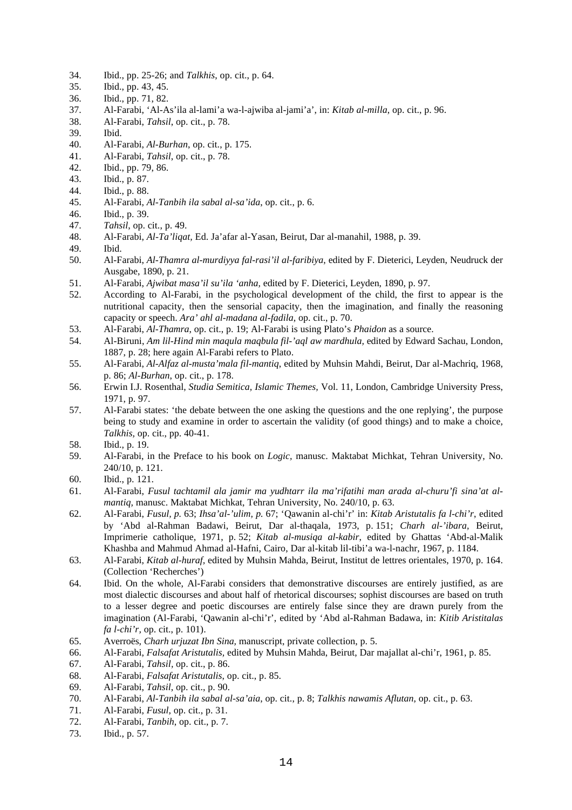- 34. Ibid., pp. 25-26; and *Talkhis*, op. cit., p. 64.
- 35. Ibid., pp. 43, 45.
- 36. Ibid., pp. 71, 82.
- 37. Al-Farabi, 'Al-As'ila al-lami'a wa-l-ajwiba al-jami'a', in: *Kitab al-milla*, op. cit., p. 96.
- 38. Al-Farabi, *Tahsil*, op. cit., p. 78.
- 39. Ibid.
- 40. Al-Farabi, *Al-Burhan*, op. cit., p. 175.
- 41. Al-Farabi, *Tahsil*, op. cit., p. 78.
- 42. Ibid., pp. 79, 86.
- 43. Ibid., p. 87.
- 44. Ibid., p. 88.
- 45. Al-Farabi, *Al-Tanbih ila sabal al-sa'ida*, op. cit., p. 6.
- 46. Ibid., p. 39.
- 47. *Tahsil*, op. cit., p. 49.
- 48. Al-Farabi, *Al-Ta'liqat,* Ed. Ja'afar al-Yasan, Beirut, Dar al-manahil, 1988, p. 39.
- 49. Ibid.
- 50. Al-Farabi, *Al-Thamra al-murdiyya fal-rasi'il al-faribiya*, edited by F. Dieterici, Leyden, Neudruck der Ausgabe, 1890, p. 21.
- 51. Al-Farabi, *Ajwibat masa'il su'ila 'anha,* edited by F. Dieterici, Leyden, 1890, p. 97.
- 52. According to Al-Farabi, in the psychological development of the child, the first to appear is the nutritional capacity, then the sensorial capacity, then the imagination, and finally the reasoning capacity or speech. *Ara' ahl al-madana al-fadila*, op. cit., p. 70.
- 53. Al-Farabi, *Al-Thamra*, op. cit., p. 19; Al-Farabi is using Plato's *Phaidon* as a source.
- 54. Al-Biruni, *Am lil-Hind min maqula maqbula fil-'aql aw mardhula,* edited by Edward Sachau, London, 1887, p. 28; here again Al-Farabi refers to Plato.
- 55. Al-Farabi, *Al-Alfaz al-musta'mala fil-mantiq*, edited by Muhsin Mahdi, Beirut, Dar al-Machriq, 1968, p. 86; *Al-Burhan*, op. cit., p. 178.
- 56. Erwin I.J. Rosenthal, *Studia Semitica, Islamic Themes,* Vol. 11, London, Cambridge University Press, 1971, p. 97.
- 57. Al-Farabi states: 'the debate between the one asking the questions and the one replying', the purpose being to study and examine in order to ascertain the validity (of good things) and to make a choice, *Talkhis,* op. cit., pp. 40-41.
- 58. Ibid., p. 19.
- 59. Al-Farabi, in the Preface to his book on *Logic,* manusc. Maktabat Michkat, Tehran University, No. 240/10, p. 121.
- 60. Ibid., p. 121.
- 61. Al-Farabi, *Fusul tachtamil ala jamir ma yudhtarr ila ma'rifatihi man arada al-churu'fi sina'at almantiq,* manusc. Maktabat Michkat, Tehran University, No. 240/10, p. 63.
- 62. Al-Farabi, *Fusul, p.* 63; *Ihsa'al-'ulim, p.* 67; 'Qawanin al-chi'r' in: *Kitab Aristutalis fa l-chi'r*, edited by 'Abd al-Rahman Badawi, Beirut, Dar al-thaqala, 1973, p. 151; *Charh al-'ibara,* Beirut, Imprimerie catholique, 1971, p. 52; *Kitab al-musiqa al-kabir*, edited by Ghattas 'Abd-al-Malik Khashba and Mahmud Ahmad al-Hafni, Cairo, Dar al-kitab lil-tibi'a wa-l-nachr, 1967, p. 1184.
- 63. Al-Farabi, *Kitab al-huraf,* edited by Muhsin Mahda, Beirut, Institut de lettres orientales, 1970, p. 164. (Collection 'Recherches')
- 64. Ibid. On the whole, Al-Farabi considers that demonstrative discourses are entirely justified, as are most dialectic discourses and about half of rhetorical discourses; sophist discourses are based on truth to a lesser degree and poetic discourses are entirely false since they are drawn purely from the imagination (Al-Farabi, 'Qawanin al-chi'r', edited by 'Abd al-Rahman Badawa, in: *Kitib Aristitalas fa l-chi'r,* op. cit., p. 101).
- 65. Averroës, *Charh urjuzat Ibn Sina,* manuscript, private collection, p. 5.
- 66. Al-Farabi, *Falsafat Aristutalis,* edited by Muhsin Mahda, Beirut, Dar majallat al-chi'r, 1961, p. 85.
- 67. Al-Farabi, *Tahsil,* op. cit., p. 86.
- 68. Al-Farabi, *Falsafat Aristutalis*, op. cit., p. 85.
- 69. Al-Farabi, *Tahsil*, op. cit., p. 90.
- 70. Al-Farabi, *Al-Tanbih ila sabal al-sa'aia*, op. cit., p. 8; *Talkhis nawamis Aflutan*, op. cit., p. 63.
- 71. Al-Farabi, *Fusul*, op. cit., p. 31.
- 72. Al-Farabi, *Tanbih*, op. cit., p. 7.
- 73. Ibid., p. 57.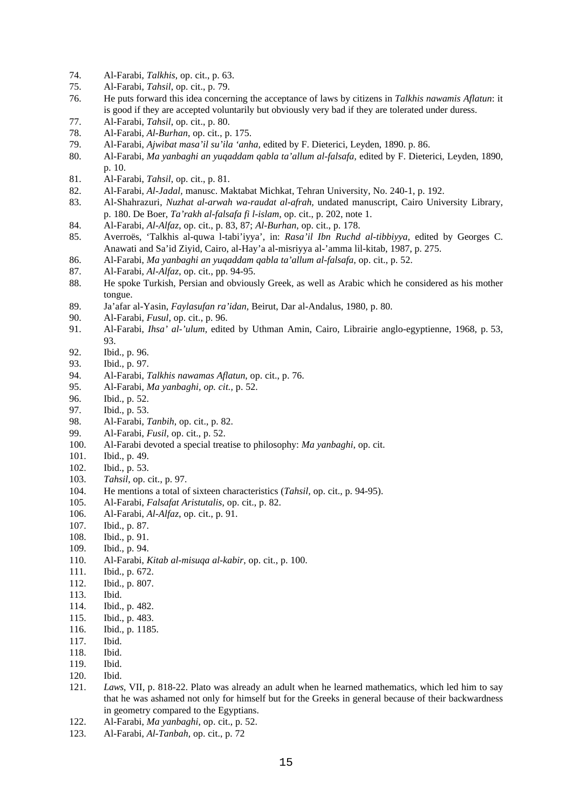- 74. Al-Farabi, *Talkhis*, op. cit., p. 63.
- 75. Al-Farabi, *Tahsil*, op. cit., p. 79.
- 76. He puts forward this idea concerning the acceptance of laws by citizens in *Talkhis nawamis Aflatun*: it is good if they are accepted voluntarily but obviously very bad if they are tolerated under duress.
- 77. Al-Farabi, *Tahsil*, op. cit., p. 80.
- 78. Al-Farabi, *Al-Burhan*, op. cit., p. 175.
- 79. Al-Farabi, *Ajwibat masa'il su'ila 'anha,* edited by F. Dieterici, Leyden, 1890. p. 86.
- 80. Al-Farabi, *Ma yanbaghi an yuqaddam qabla ta'allum al-falsafa,* edited by F. Dieterici, Leyden, 1890, p. 10.
- 81. Al-Farabi, *Tahsil*, op. cit., p. 81.
- 82. Al-Farabi, *Al-Jadal,* manusc. Maktabat Michkat, Tehran University, No. 240-1, p. 192.
- 83. Al-Shahrazuri, *Nuzhat al-arwah wa-raudat al-afrah,* undated manuscript, Cairo University Library, p. 180. De Boer, *Ta'rakh al-falsafa fi l-islam*, op. cit., p. 202, note 1.
- 84. Al-Farabi, *Al-Alfaz*, op. cit., p. 83, 87; *Al-Burhan*, op. cit., p. 178.
- 85. Averroës, 'Talkhis al-quwa l-tabi'iyya', in: *Rasa'il Ibn Ruchd al-tibbiyya,* edited by Georges C. Anawati and Sa'id Ziyid, Cairo, al-Hay'a al-misriyya al-'amma lil-kitab, 1987, p. 275.
- 86. Al-Farabi, *Ma yanbaghi an yuqaddam qabla ta'allum al-falsafa*, op. cit., p. 52.
- 87. Al-Farabi, *Al-Alfaz*, op. cit., pp. 94-95.
- 88. He spoke Turkish, Persian and obviously Greek, as well as Arabic which he considered as his mother tongue.
- 89. Ja'afar al-Yasin, *Faylasufan ra'idan,* Beirut, Dar al-Andalus, 1980, p. 80.
- 90. Al-Farabi, *Fusul*, op. cit., p. 96.
- 91. Al-Farabi, *Ihsa' al-'ulum,* edited by Uthman Amin, Cairo, Librairie anglo-egyptienne, 1968, p. 53, 93.
- 92. Ibid., p. 96.
- 93. Ibid., p. 97.
- 94. Al-Farabi, *Talkhis nawamas Aflatun*, op. cit., p. 76.
- 95. Al-Farabi, *Ma yanbaghi, op. cit.,* p. 52.
- 96. Ibid., p. 52.
- 97. Ibid., p. 53.
- 98. Al-Farabi, *Tanbih*, op. cit., p. 82.
- 99. Al-Farabi, *Fusil*, op. cit., p. 52.
- 100. Al-Farabi devoted a special treatise to philosophy: *Ma yanbaghi*, op. cit.
- 101. Ibid., p. 49.
- 102. Ibid., p. 53.
- 103. *Tahsil*, op. cit., p. 97.
- 104. He mentions a total of sixteen characteristics (*Tahsil,* op. cit., p. 94-95).
- 105. Al-Farabi, *Falsafat Aristutalis*, op. cit., p. 82.
- 106. Al-Farabi, *Al-Alfaz*, op. cit., p. 91.
- 107. Ibid., p. 87.
- 108. Ibid., p. 91.
- 109. Ibid., p. 94.
- 110. Al-Farabi, *Kitab al-misuqa al-kabir*, op. cit., p. 100.
- 111. Ibid., p. 672.
- 112. Ibid., p. 807.
- 113. Ibid.
- 114. Ibid., p. 482.
- 115. Ibid., p. 483.
- 116. Ibid., p. 1185.
- 117. Ibid.
- 118. Ibid.
- 119. Ibid.
- 120. Ibid.
- 121. *Laws*, VII, p. 818-22. Plato was already an adult when he learned mathematics, which led him to say that he was ashamed not only for himself but for the Greeks in general because of their backwardness in geometry compared to the Egyptians.
- 122. Al-Farabi, *Ma yanbaghi*, op. cit., p. 52.
- 123. Al-Farabi, *Al-Tanbah*, op. cit., p. 72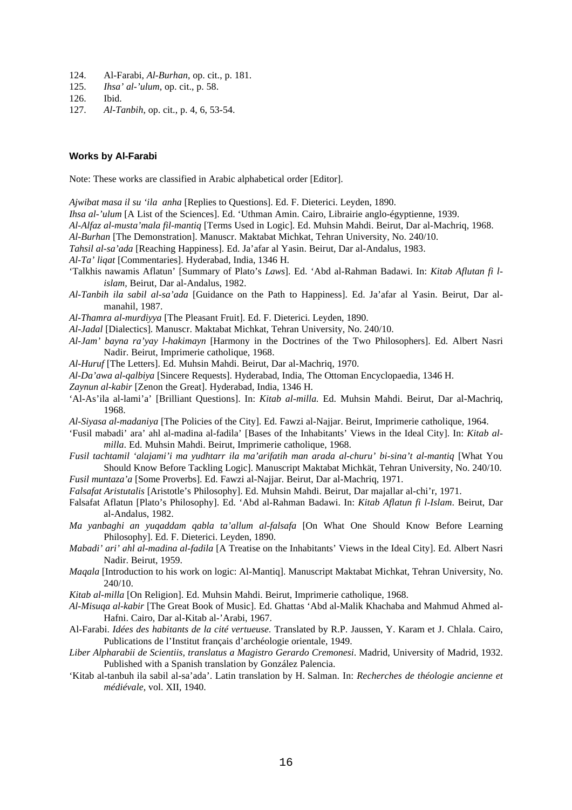- 124. Al-Farabi, *Al-Burhan*, op. cit., p. 181.
- 125. *Ihsa' al-'ulum*, op. cit., p. 58.
- 126. Ibid.
- 127. *Al-Tanbih*, op. cit., p. 4, 6, 53-54.

#### **Works by Al-Farabi**

Note: These works are classified in Arabic alphabetical order [Editor].

*Ajwibat masa il su 'ila anha* [Replies to Questions]. Ed. F. Dieterici. Leyden, 1890.

- *Ihsa al-'ulum* [A List of the Sciences]. Ed. 'Uthman Amin. Cairo, Librairie anglo-égyptienne, 1939.
- *Al-Alfaz al-musta'mala fil-mantiq* [Terms Used in Logic]. Ed. Muhsin Mahdi. Beirut, Dar al-Machriq, 1968.
- *Al-Burhan* [The Demonstration]. Manuscr. Maktabat Michkat, Tehran University, No. 240/10.

*Tahsil al-sa'ada* [Reaching Happiness]. Ed. Ja'afar al Yasin. Beirut, Dar al-Andalus, 1983.

- *Al-Ta' liqat* [Commentaries]. Hyderabad, India, 1346 H.
- 'Talkhis nawamis Aflatun' [Summary of Plato's *Laws*]. Ed. 'Abd al-Rahman Badawi. In: *Kitab Aflutan fi lislam,* Beirut, Dar al-Andalus, 1982.
- *Al-Tanbih ila sabil al-sa'ada* [Guidance on the Path to Happiness]. Ed. Ja'afar al Yasin. Beirut, Dar almanahil, 1987.
- *Al-Thamra al-murdiyya* [The Pleasant Fruit]. Ed. F. Dieterici. Leyden, 1890.
- *Al-Jadal* [Dialectics]. Manuscr. Maktabat Michkat, Tehran University, No. 240/10.
- *Al-Jam' bayna ra'yay l-hakimayn* [Harmony in the Doctrines of the Two Philosophers]. Ed. Albert Nasri Nadir. Beirut, Imprimerie catholique, 1968.
- *Al-Huruf* [The Letters]. Ed. Muhsin Mahdi. Beirut, Dar al-Machriq, 1970.
- *Al-Da'awa al-qalbiya* [Sincere Requests]. Hyderabad, India, The Ottoman Encyclopaedia, 1346 H.
- *Zaynun al-kabir* [Zenon the Great]. Hyderabad, India, 1346 H.
- 'Al-As'ila al-lami'a' [Brilliant Questions]. In: *Kitab al-milla.* Ed. Muhsin Mahdi. Beirut, Dar al-Machriq, 1968.
- *Al-Siyasa al-madaniya* [The Policies of the City]. Ed. Fawzi al-Najjar. Beirut, Imprimerie catholique, 1964.
- 'Fusil mabadi' ara' ahl al-madina al-fadila' [Bases of the Inhabitants' Views in the Ideal City]. In: *Kitab almilla*. Ed. Muhsin Mahdi. Beirut, Imprimerie catholique, 1968.
- *Fusil tachtamil 'alajami'i ma yudhtarr ila ma'arifatih man arada al-churu' bi-sina't al-mantiq* [What You Should Know Before Tackling Logic]. Manuscript Maktabat Michkät, Tehran University, No. 240/10. *Fusil muntaza'a* [Some Proverbs]. Ed. Fawzi al-Najjar. Beirut, Dar al-Machriq, 1971.

*Falsafat Aristutalis* [Aristotle's Philosophy]. Ed. Muhsin Mahdi. Beirut, Dar majallar al-chi'r, 1971.

- Falsafat Aflatun [Plato's Philosophy]. Ed. 'Abd al-Rahman Badawi. In: *Kitab Aflatun fi l-Islam*. Beirut, Dar al-Andalus, 1982.
- *Ma yanbaghi an yuqaddam qabla ta'allum al-falsafa* [On What One Should Know Before Learning Philosophy]. Ed. F. Dieterici. Leyden, 1890.
- *Mabadi' ari' ahl al-madina al-fadila* [A Treatise on the Inhabitants' Views in the Ideal City]. Ed. Albert Nasri Nadir. Beirut, 1959.
- *Maqala* [Introduction to his work on logic: Al-Mantiq]. Manuscript Maktabat Michkat, Tehran University, No. 240/10.
- *Kitab al-milla* [On Religion]. Ed. Muhsin Mahdi. Beirut, Imprimerie catholique, 1968.
- *Al-Misuqa al-kabir* [The Great Book of Music]. Ed. Ghattas 'Abd al-Malik Khachaba and Mahmud Ahmed al-Hafni. Cairo, Dar al-Kitab al-'Arabi, 1967.
- Al-Farabi. *Idées des habitants de la cité vertueuse.* Translated by R.P. Jaussen, Y. Karam et J. Chlala. Cairo, Publications de l'Institut français d'archéologie orientale, 1949.
- *Liber Alpharabii de Scientiis, translatus a Magistro Gerardo Cremonesi*. Madrid, University of Madrid, 1932. Published with a Spanish translation by González Palencia.
- 'Kitab al-tanbuh ila sabil al-sa'ada'. Latin translation by H. Salman. In: *Recherches de théologie ancienne et médiévale*, vol. XII, 1940.